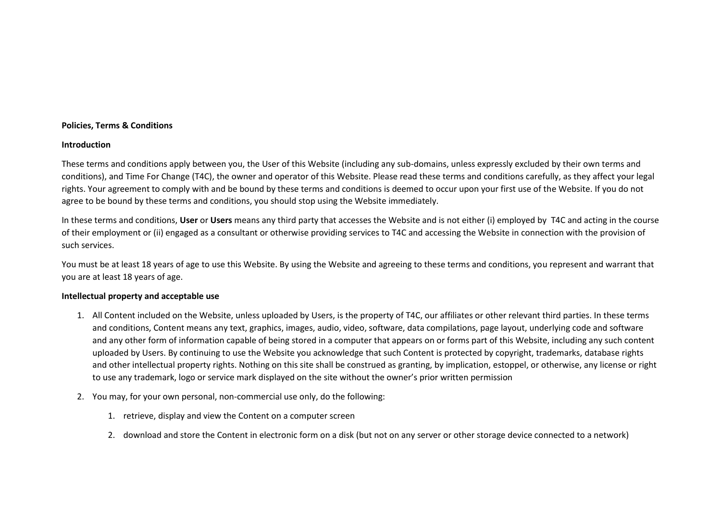### **Policies, Terms & Conditions**

#### **Introduction**

These terms and conditions apply between you, the User of this Website (including any sub-domains, unless expressly excluded by their own terms and conditions), and Time For Change (T4C), the owner and operator of this Website. Please read these terms and conditions carefully, as they affect your legal rights. Your agreement to comply with and be bound by these terms and conditions is deemed to occur upon your first use of the Website. If you do not agree to be bound by these terms and conditions, you should stop using the Website immediately.

In these terms and conditions, **User** or **Users** means any third party that accesses the Website and is not either (i) employed by T4C and acting in the course of their employment or (ii) engaged as a consultant or otherwise providing services to T4C and accessing the Website in connection with the provision of such services.

You must be at least 18 years of age to use this Website. By using the Website and agreeing to these terms and conditions, you represent and warrant that you are at least 18 years of age.

#### **Intellectual property and acceptable use**

- 1. All Content included on the Website, unless uploaded by Users, is the property of T4C, our affiliates or other relevant third parties. In these terms and conditions, Content means any text, graphics, images, audio, video, software, data compilations, page layout, underlying code and software and any other form of information capable of being stored in a computer that appears on or forms part of this Website, including any such content uploaded by Users. By continuing to use the Website you acknowledge that such Content is protected by copyright, trademarks, database rights and other intellectual property rights. Nothing on this site shall be construed as granting, by implication, estoppel, or otherwise, any license or right to use any trademark, logo or service mark displayed on the site without the owner's prior written permission
- 2. You may, for your own personal, non-commercial use only, do the following:
	- 1. retrieve, display and view the Content on a computer screen
	- 2. download and store the Content in electronic form on a disk (but not on any server or other storage device connected to a network)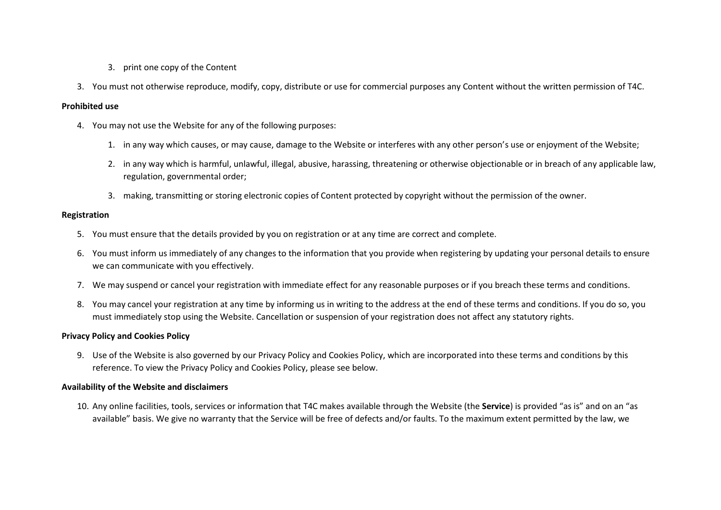- 3. print one copy of the Content
- 3. You must not otherwise reproduce, modify, copy, distribute or use for commercial purposes any Content without the written permission of T4C.

### **Prohibited use**

- 4. You may not use the Website for any of the following purposes:
	- 1. in any way which causes, or may cause, damage to the Website or interferes with any other person's use or enjoyment of the Website;
	- 2. in any way which is harmful, unlawful, illegal, abusive, harassing, threatening or otherwise objectionable or in breach of any applicable law, regulation, governmental order;
	- 3. making, transmitting or storing electronic copies of Content protected by copyright without the permission of the owner.

#### **Registration**

- 5. You must ensure that the details provided by you on registration or at any time are correct and complete.
- 6. You must inform us immediately of any changes to the information that you provide when registering by updating your personal details to ensure we can communicate with you effectively.
- 7. We may suspend or cancel your registration with immediate effect for any reasonable purposes or if you breach these terms and conditions.
- 8. You may cancel your registration at any time by informing us in writing to the address at the end of these terms and conditions. If you do so, you must immediately stop using the Website. Cancellation or suspension of your registration does not affect any statutory rights.

### **Privacy Policy and Cookies Policy**

9. Use of the Website is also governed by our Privacy Policy and Cookies Policy, which are incorporated into these terms and conditions by this reference. To view the Privacy Policy and Cookies Policy, please see below.

#### **Availability of the Website and disclaimers**

10. Any online facilities, tools, services or information that T4C makes available through the Website (the **Service**) is provided "as is" and on an "as available" basis. We give no warranty that the Service will be free of defects and/or faults. To the maximum extent permitted by the law, we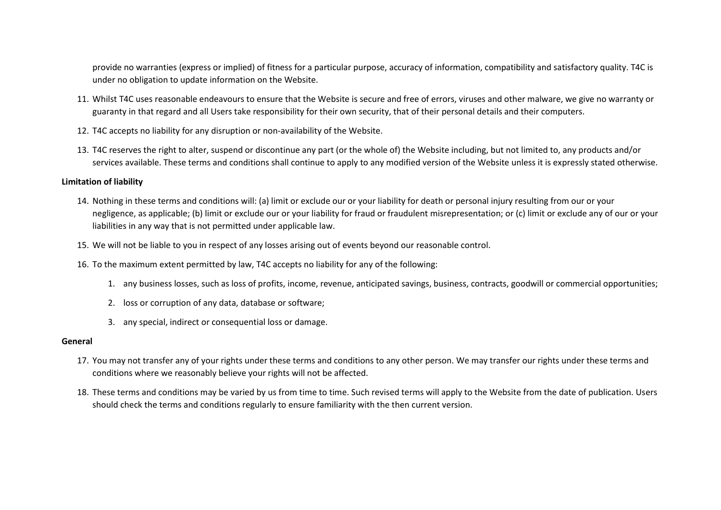provide no warranties (express or implied) of fitness for a particular purpose, accuracy of information, compatibility and satisfactory quality. T4C is under no obligation to update information on the Website.

- 11. Whilst T4C uses reasonable endeavours to ensure that the Website is secure and free of errors, viruses and other malware, we give no warranty or guaranty in that regard and all Users take responsibility for their own security, that of their personal details and their computers.
- 12. T4C accepts no liability for any disruption or non-availability of the Website.
- 13. T4C reserves the right to alter, suspend or discontinue any part (or the whole of) the Website including, but not limited to, any products and/or services available. These terms and conditions shall continue to apply to any modified version of the Website unless it is expressly stated otherwise.

#### **Limitation of liability**

- 14. Nothing in these terms and conditions will: (a) limit or exclude our or your liability for death or personal injury resulting from our or your negligence, as applicable; (b) limit or exclude our or your liability for fraud or fraudulent misrepresentation; or (c) limit or exclude any of our or your liabilities in any way that is not permitted under applicable law.
- 15. We will not be liable to you in respect of any losses arising out of events beyond our reasonable control.
- 16. To the maximum extent permitted by law, T4C accepts no liability for any of the following:
	- 1. any business losses, such as loss of profits, income, revenue, anticipated savings, business, contracts, goodwill or commercial opportunities;
	- 2. loss or corruption of any data, database or software;
	- 3. any special, indirect or consequential loss or damage.

#### **General**

- 17. You may not transfer any of your rights under these terms and conditions to any other person. We may transfer our rights under these terms and conditions where we reasonably believe your rights will not be affected.
- 18. These terms and conditions may be varied by us from time to time. Such revised terms will apply to the Website from the date of publication. Users should check the terms and conditions regularly to ensure familiarity with the then current version.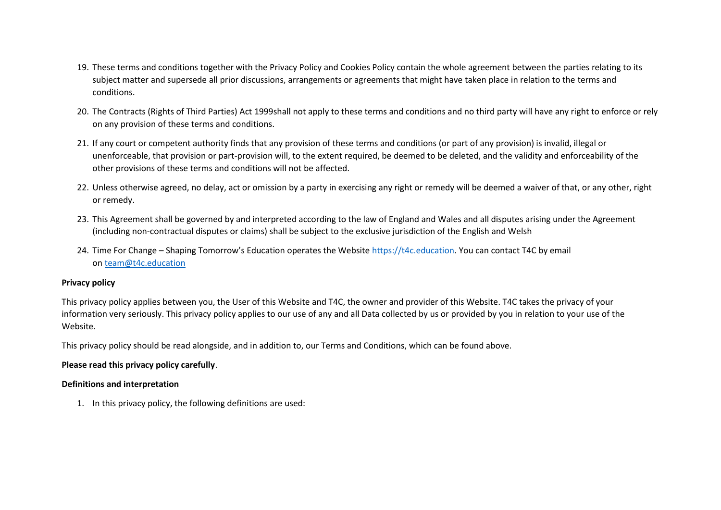- 19. These terms and conditions together with the Privacy Policy and Cookies Policy contain the whole agreement between the parties relating to its subject matter and supersede all prior discussions, arrangements or agreements that might have taken place in relation to the terms and conditions.
- 20. The Contracts (Rights of Third Parties) Act 1999shall not apply to these terms and conditions and no third party will have any right to enforce or rely on any provision of these terms and conditions.
- 21. If any court or competent authority finds that any provision of these terms and conditions (or part of any provision) is invalid, illegal or unenforceable, that provision or part-provision will, to the extent required, be deemed to be deleted, and the validity and enforceability of the other provisions of these terms and conditions will not be affected.
- 22. Unless otherwise agreed, no delay, act or omission by a party in exercising any right or remedy will be deemed a waiver of that, or any other, right or remedy.
- 23. This Agreement shall be governed by and interpreted according to the law of England and Wales and all disputes arising under the Agreement (including non-contractual disputes or claims) shall be subject to the exclusive jurisdiction of the English and Welsh
- 24. Time For Change Shaping Tomorrow's Education operates the Website [https://t4c.education.](https://t4c.education/) You can contact T4C by email on [team@t4c.education](mailto:team@t4c.education)

### **Privacy policy**

This privacy policy applies between you, the User of this Website and T4C, the owner and provider of this Website. T4C takes the privacy of your information very seriously. This privacy policy applies to our use of any and all Data collected by us or provided by you in relation to your use of the Website.

This privacy policy should be read alongside, and in addition to, our Terms and Conditions, which can be found above.

# **Please read this privacy policy carefully**.

# **Definitions and interpretation**

1. In this privacy policy, the following definitions are used: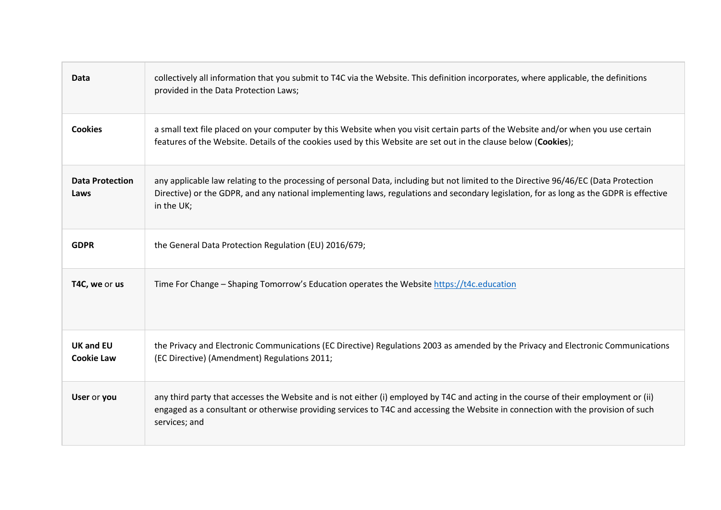| Data                                  | collectively all information that you submit to T4C via the Website. This definition incorporates, where applicable, the definitions<br>provided in the Data Protection Laws;                                                                                                                 |
|---------------------------------------|-----------------------------------------------------------------------------------------------------------------------------------------------------------------------------------------------------------------------------------------------------------------------------------------------|
| <b>Cookies</b>                        | a small text file placed on your computer by this Website when you visit certain parts of the Website and/or when you use certain<br>features of the Website. Details of the cookies used by this Website are set out in the clause below (Cookies);                                          |
| <b>Data Protection</b><br>Laws        | any applicable law relating to the processing of personal Data, including but not limited to the Directive 96/46/EC (Data Protection<br>Directive) or the GDPR, and any national implementing laws, regulations and secondary legislation, for as long as the GDPR is effective<br>in the UK; |
| <b>GDPR</b>                           | the General Data Protection Regulation (EU) 2016/679;                                                                                                                                                                                                                                         |
| T4C, we or us                         | Time For Change - Shaping Tomorrow's Education operates the Website https://t4c.education                                                                                                                                                                                                     |
| <b>UK and EU</b><br><b>Cookie Law</b> | the Privacy and Electronic Communications (EC Directive) Regulations 2003 as amended by the Privacy and Electronic Communications<br>(EC Directive) (Amendment) Regulations 2011;                                                                                                             |
| User or you                           | any third party that accesses the Website and is not either (i) employed by T4C and acting in the course of their employment or (ii)<br>engaged as a consultant or otherwise providing services to T4C and accessing the Website in connection with the provision of such<br>services; and    |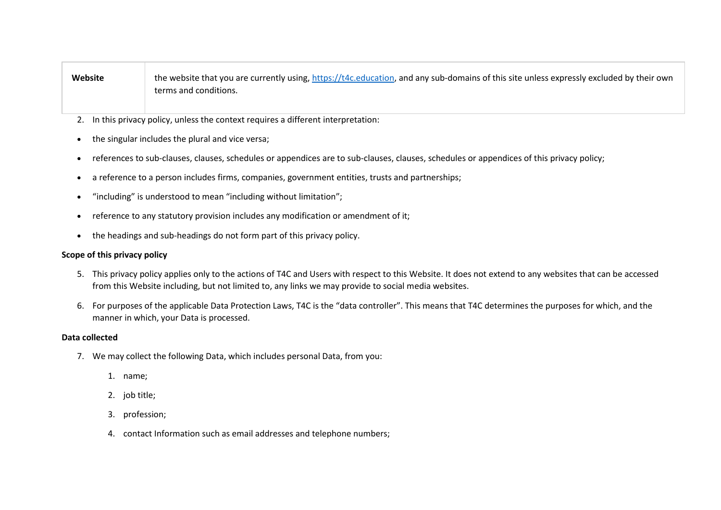# Website the website that you are currently using, [https://t4c.education,](https://t4c.education/) and any sub-domains of this site unless expressly excluded by their own terms and conditions.

- 2. In this privacy policy, unless the context requires a different interpretation:
- the singular includes the plural and vice versa;
- references to sub-clauses, clauses, schedules or appendices are to sub-clauses, clauses, schedules or appendices of this privacy policy;
- a reference to a person includes firms, companies, government entities, trusts and partnerships;
- "including" is understood to mean "including without limitation";
- reference to any statutory provision includes any modification or amendment of it;
- the headings and sub-headings do not form part of this privacy policy.

### **Scope of this privacy policy**

- 5. This privacy policy applies only to the actions of T4C and Users with respect to this Website. It does not extend to any websites that can be accessed from this Website including, but not limited to, any links we may provide to social media websites.
- 6. For purposes of the applicable Data Protection Laws, T4C is the "data controller". This means that T4C determines the purposes for which, and the manner in which, your Data is processed.

### **Data collected**

- 7. We may collect the following Data, which includes personal Data, from you:
	- 1. name;
	- 2. job title;
	- 3. profession;
	- 4. contact Information such as email addresses and telephone numbers;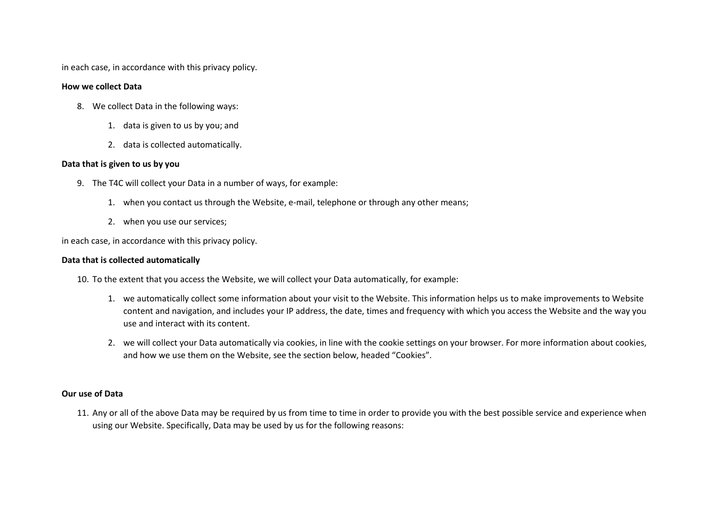in each case, in accordance with this privacy policy.

#### **How we collect Data**

- 8. We collect Data in the following ways:
	- 1. data is given to us by you; and
	- 2. data is collected automatically.

#### **Data that is given to us by you**

- 9. The T4C will collect your Data in a number of ways, for example:
	- 1. when you contact us through the Website, e-mail, telephone or through any other means;
	- 2. when you use our services;

in each case, in accordance with this privacy policy.

### **Data that is collected automatically**

- 10. To the extent that you access the Website, we will collect your Data automatically, for example:
	- 1. we automatically collect some information about your visit to the Website. This information helps us to make improvements to Website content and navigation, and includes your IP address, the date, times and frequency with which you access the Website and the way you use and interact with its content.
	- 2. we will collect your Data automatically via cookies, in line with the cookie settings on your browser. For more information about cookies, and how we use them on the Website, see the section below, headed "Cookies".

### **Our use of Data**

11. Any or all of the above Data may be required by us from time to time in order to provide you with the best possible service and experience when using our Website. Specifically, Data may be used by us for the following reasons: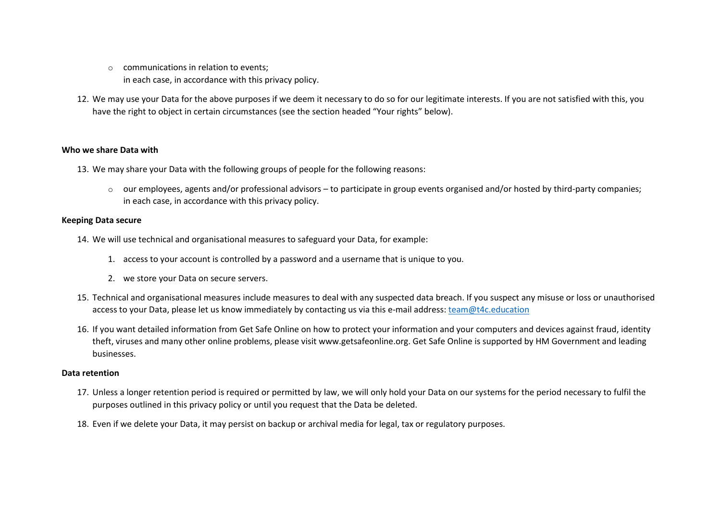- $\circ$  communications in relation to events; in each case, in accordance with this privacy policy.
- 12. We may use your Data for the above purposes if we deem it necessary to do so for our legitimate interests. If you are not satisfied with this, you have the right to object in certain circumstances (see the section headed "Your rights" below).

### **Who we share Data with**

- 13. We may share your Data with the following groups of people for the following reasons:
	- o our employees, agents and/or professional advisors to participate in group events organised and/or hosted by third-party companies; in each case, in accordance with this privacy policy.

### **Keeping Data secure**

- 14. We will use technical and organisational measures to safeguard your Data, for example:
	- 1. access to your account is controlled by a password and a username that is unique to you.
	- 2. we store your Data on secure servers.
- 15. Technical and organisational measures include measures to deal with any suspected data breach. If you suspect any misuse or loss or unauthorised access to your Data, please let us know immediately by contacting us via this e-mail address: [team@t4c.education](mailto:team@t4c.education)
- 16. If you want detailed information from Get Safe Online on how to protect your information and your computers and devices against fraud, identity theft, viruses and many other online problems, please visit www.getsafeonline.org. Get Safe Online is supported by HM Government and leading businesses.

### **Data retention**

- 17. Unless a longer retention period is required or permitted by law, we will only hold your Data on our systems for the period necessary to fulfil the purposes outlined in this privacy policy or until you request that the Data be deleted.
- 18. Even if we delete your Data, it may persist on backup or archival media for legal, tax or regulatory purposes.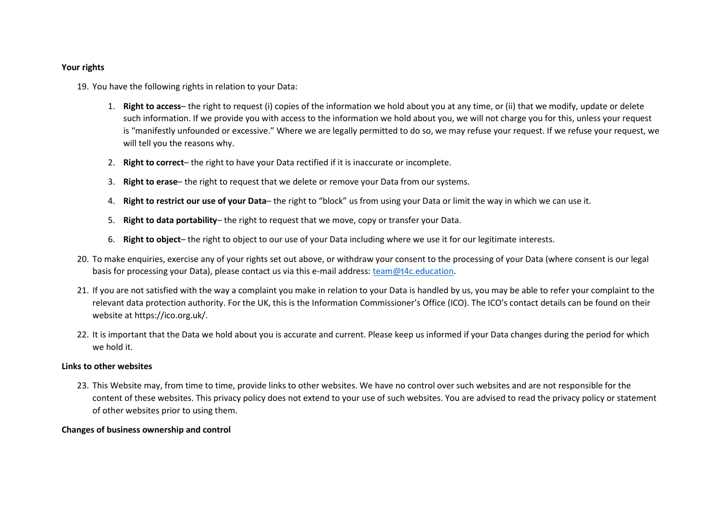#### **Your rights**

19. You have the following rights in relation to your Data:

- 1. **Right to access** the right to request (i) copies of the information we hold about you at any time, or (ii) that we modify, update or delete such information. If we provide you with access to the information we hold about you, we will not charge you for this, unless your request is "manifestly unfounded or excessive." Where we are legally permitted to do so, we may refuse your request. If we refuse your request, we will tell you the reasons why.
- 2. **Right to correct** the right to have your Data rectified if it is inaccurate or incomplete.
- 3. **Right to erase** the right to request that we delete or remove your Data from our systems.
- 4. **Right to restrict our use of your Data** the right to "block" us from using your Data or limit the way in which we can use it.
- 5. **Right to data portability** the right to request that we move, copy or transfer your Data.
- 6. **Right to object** the right to object to our use of your Data including where we use it for our legitimate interests.
- 20. To make enquiries, exercise any of your rights set out above, or withdraw your consent to the processing of your Data (where consent is our legal basis for processing your Data), please contact us via this e-mail address: [team@t4c.education.](mailto:team@t4c.education)
- 21. If you are not satisfied with the way a complaint you make in relation to your Data is handled by us, you may be able to refer your complaint to the relevant data protection authority. For the UK, this is the Information Commissioner's Office (ICO). The ICO's contact details can be found on their website at https://ico.org.uk/.
- 22. It is important that the Data we hold about you is accurate and current. Please keep us informed if your Data changes during the period for which we hold it.

### **Links to other websites**

23. This Website may, from time to time, provide links to other websites. We have no control over such websites and are not responsible for the content of these websites. This privacy policy does not extend to your use of such websites. You are advised to read the privacy policy or statement of other websites prior to using them.

# **Changes of business ownership and control**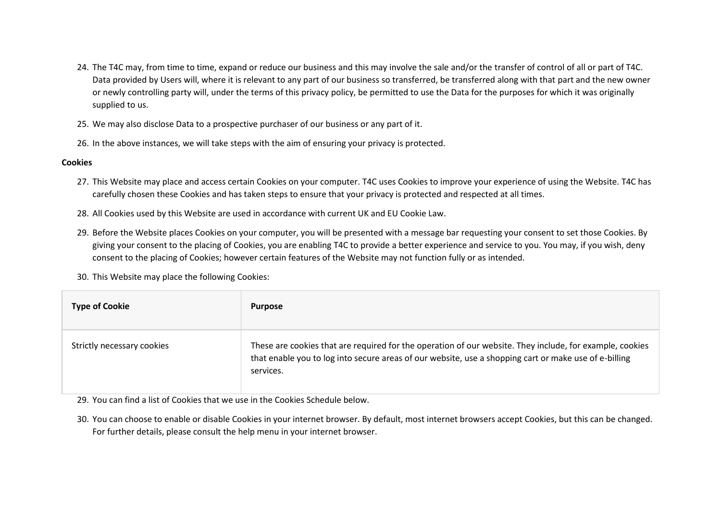- 24. The T4C may, from time to time, expand or reduce our business and this may involve the sale and/or the transfer of control of all or part of T4C. Data provided by Users will, where it is relevant to any part of our business so transferred, be transferred along with that part and the new owner or newly controlling party will, under the terms of this privacy policy, be permitted to use the Data for the purposes for which it was originally supplied to us.
- 25. We may also disclose Data to a prospective purchaser of our business or any part of it.
- 26. In the above instances, we will take steps with the aim of ensuring your privacy is protected.

# **Cookies**

- 27. This Website may place and access certain Cookies on your computer. T4C uses Cookies to improve your experience of using the Website. T4C has carefully chosen these Cookies and has taken steps to ensure that your privacy is protected and respected at all times.
- 28. All Cookies used by this Website are used in accordance with current UK and EU Cookie Law.
- 29. Before the Website places Cookies on your computer, you will be presented with a message bar requesting your consent to set those Cookies. By giving your consent to the placing of Cookies, you are enabling T4C to provide a better experience and service to you. You may, if you wish, deny consent to the placing of Cookies; however certain features of the Website may not function fully or as intended.
- 30. This Website may place the following Cookies:

| <b>Type of Cookie</b>      | <b>Purpose</b>                                                                                                                                                                                                                 |
|----------------------------|--------------------------------------------------------------------------------------------------------------------------------------------------------------------------------------------------------------------------------|
| Strictly necessary cookies | These are cookies that are required for the operation of our website. They include, for example, cookies<br>that enable you to log into secure areas of our website, use a shopping cart or make use of e-billing<br>services. |

29. You can find a list of Cookies that we use in the Cookies Schedule below.

30. You can choose to enable or disable Cookies in your internet browser. By default, most internet browsers accept Cookies, but this can be changed. For further details, please consult the help menu in your internet browser.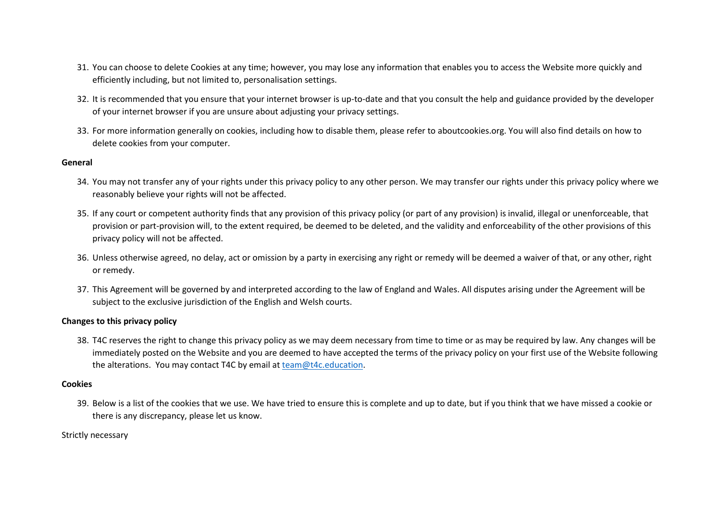- 31. You can choose to delete Cookies at any time; however, you may lose any information that enables you to access the Website more quickly and efficiently including, but not limited to, personalisation settings.
- 32. It is recommended that you ensure that your internet browser is up-to-date and that you consult the help and guidance provided by the developer of your internet browser if you are unsure about adjusting your privacy settings.
- 33. For more information generally on cookies, including how to disable them, please refer to aboutcookies.org. You will also find details on how to delete cookies from your computer.

#### **General**

- 34. You may not transfer any of your rights under this privacy policy to any other person. We may transfer our rights under this privacy policy where we reasonably believe your rights will not be affected.
- 35. If any court or competent authority finds that any provision of this privacy policy (or part of any provision) is invalid, illegal or unenforceable, that provision or part-provision will, to the extent required, be deemed to be deleted, and the validity and enforceability of the other provisions of this privacy policy will not be affected.
- 36. Unless otherwise agreed, no delay, act or omission by a party in exercising any right or remedy will be deemed a waiver of that, or any other, right or remedy.
- 37. This Agreement will be governed by and interpreted according to the law of England and Wales. All disputes arising under the Agreement will be subject to the exclusive jurisdiction of the English and Welsh courts.

### **Changes to this privacy policy**

38. T4C reserves the right to change this privacy policy as we may deem necessary from time to time or as may be required by law. Any changes will be immediately posted on the Website and you are deemed to have accepted the terms of the privacy policy on your first use of the Website following the alterations. You may contact T4C by email at [team@t4c.education.](mailto:team@t4c.education)

#### **Cookies**

39. Below is a list of the cookies that we use. We have tried to ensure this is complete and up to date, but if you think that we have missed a cookie or there is any discrepancy, please let us know.

Strictly necessary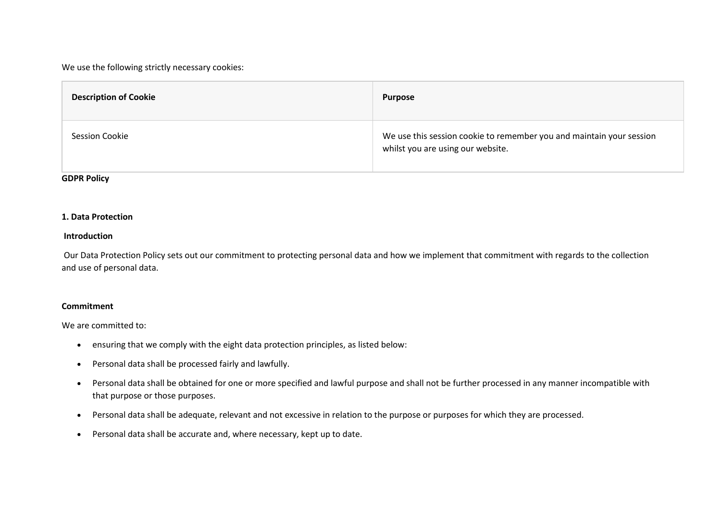### We use the following strictly necessary cookies:

| <b>Description of Cookie</b> | <b>Purpose</b>                                                                                            |
|------------------------------|-----------------------------------------------------------------------------------------------------------|
| <b>Session Cookie</b>        | We use this session cookie to remember you and maintain your session<br>whilst you are using our website. |

### **GDPR Policy**

### **1. Data Protection**

#### **Introduction**

Our Data Protection Policy sets out our commitment to protecting personal data and how we implement that commitment with regards to the collection and use of personal data.

### **Commitment**

We are committed to:

- ensuring that we comply with the eight data protection principles, as listed below:
- Personal data shall be processed fairly and lawfully.
- Personal data shall be obtained for one or more specified and lawful purpose and shall not be further processed in any manner incompatible with that purpose or those purposes.
- Personal data shall be adequate, relevant and not excessive in relation to the purpose or purposes for which they are processed.
- Personal data shall be accurate and, where necessary, kept up to date.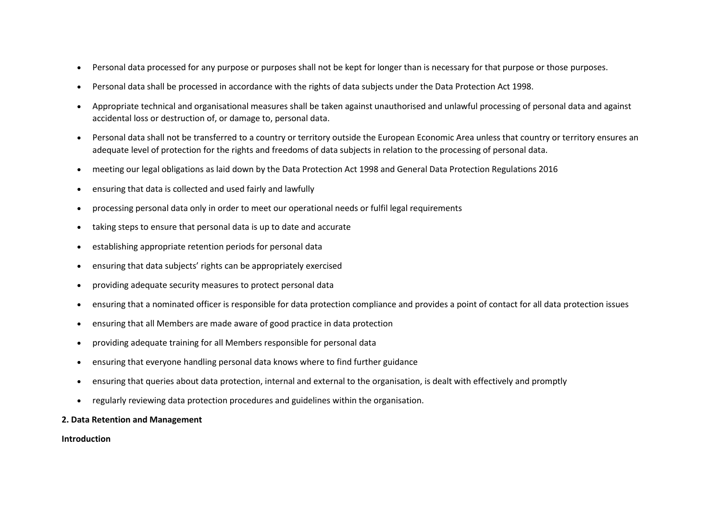- Personal data processed for any purpose or purposes shall not be kept for longer than is necessary for that purpose or those purposes.
- Personal data shall be processed in accordance with the rights of data subjects under the Data Protection Act 1998.
- Appropriate technical and organisational measures shall be taken against unauthorised and unlawful processing of personal data and against accidental loss or destruction of, or damage to, personal data.
- Personal data shall not be transferred to a country or territory outside the European Economic Area unless that country or territory ensures an adequate level of protection for the rights and freedoms of data subjects in relation to the processing of personal data.
- meeting our legal obligations as laid down by the Data Protection Act 1998 and General Data Protection Regulations 2016
- ensuring that data is collected and used fairly and lawfully
- processing personal data only in order to meet our operational needs or fulfil legal requirements
- taking steps to ensure that personal data is up to date and accurate
- establishing appropriate retention periods for personal data
- ensuring that data subjects' rights can be appropriately exercised
- providing adequate security measures to protect personal data
- ensuring that a nominated officer is responsible for data protection compliance and provides a point of contact for all data protection issues
- ensuring that all Members are made aware of good practice in data protection
- providing adequate training for all Members responsible for personal data
- ensuring that everyone handling personal data knows where to find further guidance
- ensuring that queries about data protection, internal and external to the organisation, is dealt with effectively and promptly
- regularly reviewing data protection procedures and guidelines within the organisation.

### **2. Data Retention and Management**

**Introduction**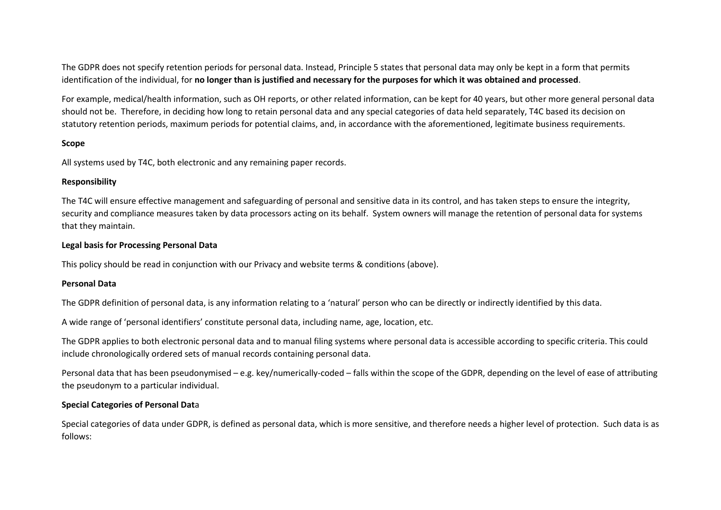The GDPR does not specify retention periods for personal data. Instead, Principle 5 states that personal data may only be kept in a form that permits identification of the individual, for **no longer than is justified and necessary for the purposes for which it was obtained and processed**.

For example, medical/health information, such as OH reports, or other related information, can be kept for 40 years, but other more general personal data should not be. Therefore, in deciding how long to retain personal data and any special categories of data held separately, T4C based its decision on statutory retention periods, maximum periods for potential claims, and, in accordance with the aforementioned, legitimate business requirements.

### **Scope**

All systems used by T4C, both electronic and any remaining paper records.

#### **Responsibility**

The T4C will ensure effective management and safeguarding of personal and sensitive data in its control, and has taken steps to ensure the integrity, security and compliance measures taken by data processors acting on its behalf. System owners will manage the retention of personal data for systems that they maintain.

### **Legal basis for Processing Personal Data**

This policy should be read in conjunction with our Privacy and website terms & conditions (above).

### **Personal Data**

The GDPR definition of personal data, is any information relating to a 'natural' person who can be directly or indirectly identified by this data.

A wide range of 'personal identifiers' constitute personal data, including name, age, location, etc.

The GDPR applies to both electronic personal data and to manual filing systems where personal data is accessible according to specific criteria. This could include chronologically ordered sets of manual records containing personal data.

Personal data that has been pseudonymised – e.g. key/numerically-coded – falls within the scope of the GDPR, depending on the level of ease of attributing the pseudonym to a particular individual.

# **Special Categories of Personal Dat**a

Special categories of data under GDPR, is defined as personal data, which is more sensitive, and therefore needs a higher level of protection. Such data is as follows: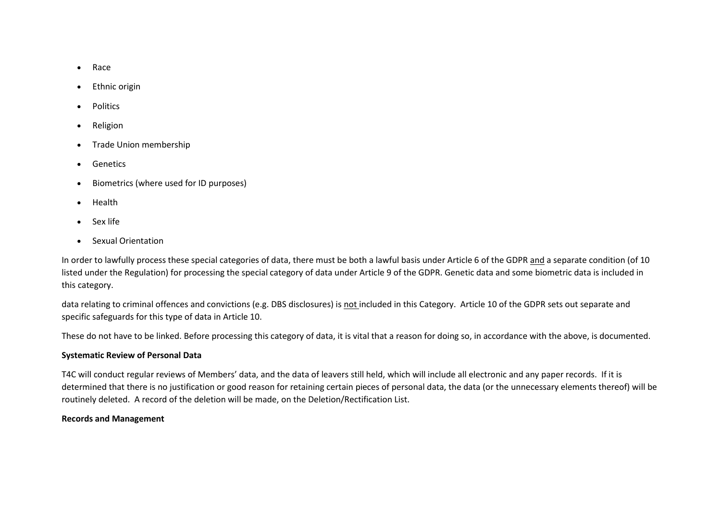- Race
- Ethnic origin
- Politics
- Religion
- Trade Union membership
- Genetics
- Biometrics (where used for ID purposes)
- Health
- Sex life
- Sexual Orientation

In order to lawfully process these special categories of data, there must be both a lawful basis under Article 6 of the GDPR and a separate condition (of 10 listed under the Regulation) for processing the special category of data under Article 9 of the GDPR. Genetic data and some biometric data is included in this category.

data relating to criminal offences and convictions (e.g. DBS disclosures) is not included in this Category. Article 10 of the GDPR sets out separate and specific safeguards for this type of data in Article 10.

These do not have to be linked. Before processing this category of data, it is vital that a reason for doing so, in accordance with the above, is documented.

### **Systematic Review of Personal Data**

T4C will conduct regular reviews of Members' data, and the data of leavers still held, which will include all electronic and any paper records. If it is determined that there is no justification or good reason for retaining certain pieces of personal data, the data (or the unnecessary elements thereof) will be routinely deleted. A record of the deletion will be made, on the Deletion/Rectification List.

### **Records and Management**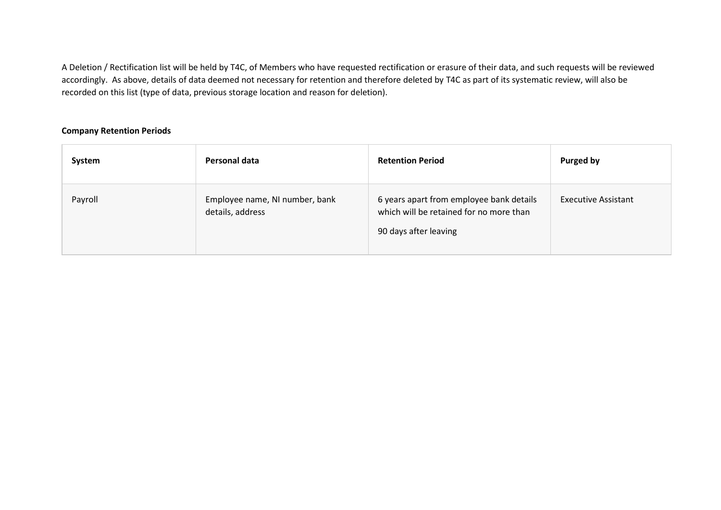A Deletion / Rectification list will be held by T4C, of Members who have requested rectification or erasure of their data, and such requests will be reviewed accordingly. As above, details of data deemed not necessary for retention and therefore deleted by T4C as part of its systematic review, will also be recorded on this list (type of data, previous storage location and reason for deletion).

### **Company Retention Periods**

| System  | Personal data                                      | <b>Retention Period</b>                                                                                      | Purged by                  |
|---------|----------------------------------------------------|--------------------------------------------------------------------------------------------------------------|----------------------------|
| Payroll | Employee name, NI number, bank<br>details, address | 6 years apart from employee bank details<br>which will be retained for no more than<br>90 days after leaving | <b>Executive Assistant</b> |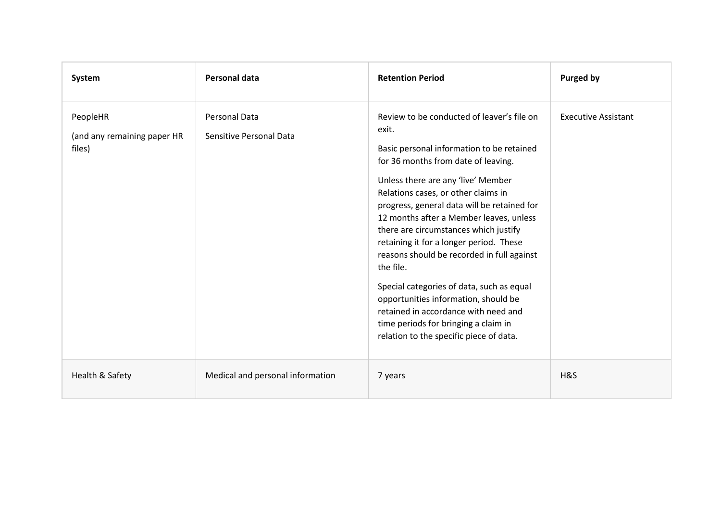| System                                            | <b>Personal data</b>                            | <b>Retention Period</b>                                                                                                                                                                                                                                                                                                                                                                                                                                                                                                                                                                                                                                                       | <b>Purged by</b>           |
|---------------------------------------------------|-------------------------------------------------|-------------------------------------------------------------------------------------------------------------------------------------------------------------------------------------------------------------------------------------------------------------------------------------------------------------------------------------------------------------------------------------------------------------------------------------------------------------------------------------------------------------------------------------------------------------------------------------------------------------------------------------------------------------------------------|----------------------------|
| PeopleHR<br>(and any remaining paper HR<br>files) | <b>Personal Data</b><br>Sensitive Personal Data | Review to be conducted of leaver's file on<br>exit.<br>Basic personal information to be retained<br>for 36 months from date of leaving.<br>Unless there are any 'live' Member<br>Relations cases, or other claims in<br>progress, general data will be retained for<br>12 months after a Member leaves, unless<br>there are circumstances which justify<br>retaining it for a longer period. These<br>reasons should be recorded in full against<br>the file.<br>Special categories of data, such as equal<br>opportunities information, should be<br>retained in accordance with need and<br>time periods for bringing a claim in<br>relation to the specific piece of data. | <b>Executive Assistant</b> |
| Health & Safety                                   | Medical and personal information                | 7 years                                                                                                                                                                                                                                                                                                                                                                                                                                                                                                                                                                                                                                                                       | H&S                        |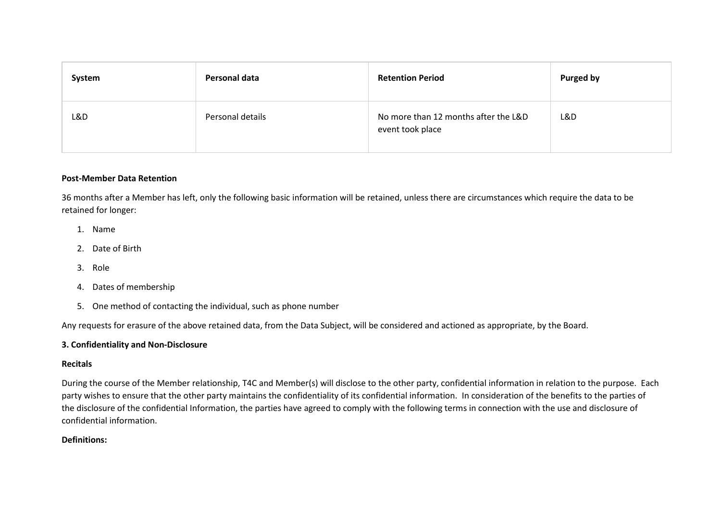| System | Personal data    | <b>Retention Period</b>                                  | Purged by |
|--------|------------------|----------------------------------------------------------|-----------|
| L&D    | Personal details | No more than 12 months after the L&D<br>event took place | L&D       |

### **Post-Member Data Retention**

36 months after a Member has left, only the following basic information will be retained, unless there are circumstances which require the data to be retained for longer:

- 1. Name
- 2. Date of Birth
- 3. Role
- 4. Dates of membership
- 5. One method of contacting the individual, such as phone number

Any requests for erasure of the above retained data, from the Data Subject, will be considered and actioned as appropriate, by the Board.

### **3. Confidentiality and Non-Disclosure**

#### **Recitals**

During the course of the Member relationship, T4C and Member(s) will disclose to the other party, confidential information in relation to the purpose. Each party wishes to ensure that the other party maintains the confidentiality of its confidential information. In consideration of the benefits to the parties of the disclosure of the confidential Information, the parties have agreed to comply with the following terms in connection with the use and disclosure of confidential information.

### **Definitions:**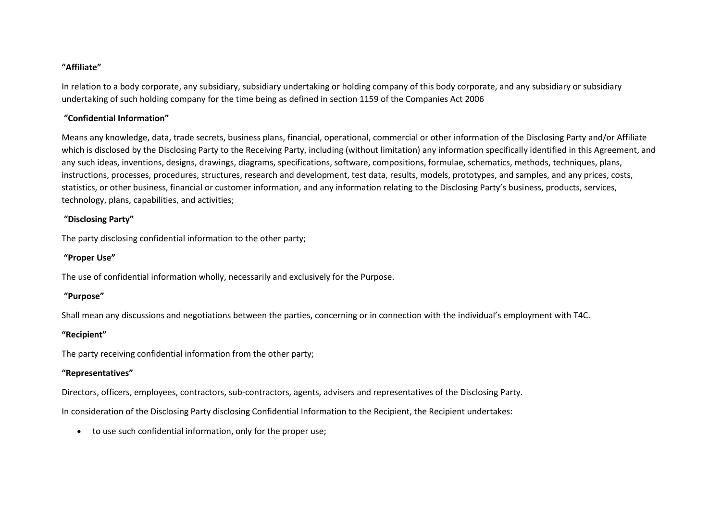### **"Affiliate"**

In relation to a body corporate, any subsidiary, subsidiary undertaking or holding company of this body corporate, and any subsidiary or subsidiary undertaking of such holding company for the time being as defined in section 1159 of the Companies Act 2006

# **"Confidential Information"**

Means any knowledge, data, trade secrets, business plans, financial, operational, commercial or other information of the Disclosing Party and/or Affiliate which is disclosed by the Disclosing Party to the Receiving Party, including (without limitation) any information specifically identified in this Agreement, and any such ideas, inventions, designs, drawings, diagrams, specifications, software, compositions, formulae, schematics, methods, techniques, plans, instructions, processes, procedures, structures, research and development, test data, results, models, prototypes, and samples, and any prices, costs, statistics, or other business, financial or customer information, and any information relating to the Disclosing Party's business, products, services, technology, plans, capabilities, and activities;

# **"Disclosing Party"**

The party disclosing confidential information to the other party;

# **"Proper Use"**

The use of confidential information wholly, necessarily and exclusively for the Purpose.

### **"Purpose"**

Shall mean any discussions and negotiations between the parties, concerning or in connection with the individual's employment with T4C.

# **"Recipient"**

The party receiving confidential information from the other party;

# **"Representatives"**

Directors, officers, employees, contractors, sub-contractors, agents, advisers and representatives of the Disclosing Party.

In consideration of the Disclosing Party disclosing Confidential Information to the Recipient, the Recipient undertakes:

• to use such confidential information, only for the proper use;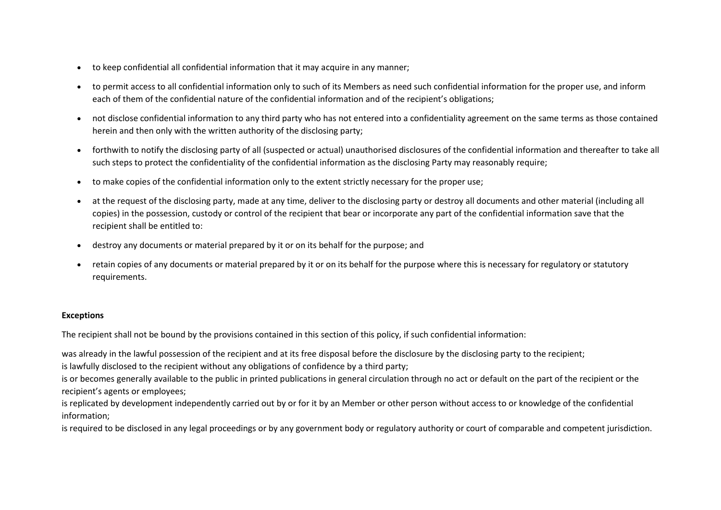- to keep confidential all confidential information that it may acquire in any manner;
- to permit access to all confidential information only to such of its Members as need such confidential information for the proper use, and inform each of them of the confidential nature of the confidential information and of the recipient's obligations;
- not disclose confidential information to any third party who has not entered into a confidentiality agreement on the same terms as those contained herein and then only with the written authority of the disclosing party;
- forthwith to notify the disclosing party of all (suspected or actual) unauthorised disclosures of the confidential information and thereafter to take all such steps to protect the confidentiality of the confidential information as the disclosing Party may reasonably require;
- to make copies of the confidential information only to the extent strictly necessary for the proper use;
- at the request of the disclosing party, made at any time, deliver to the disclosing party or destroy all documents and other material (including all copies) in the possession, custody or control of the recipient that bear or incorporate any part of the confidential information save that the recipient shall be entitled to:
- destroy any documents or material prepared by it or on its behalf for the purpose; and
- retain copies of any documents or material prepared by it or on its behalf for the purpose where this is necessary for regulatory or statutory requirements.

### **Exceptions**

The recipient shall not be bound by the provisions contained in this section of this policy, if such confidential information:

was already in the lawful possession of the recipient and at its free disposal before the disclosure by the disclosing party to the recipient;

is lawfully disclosed to the recipient without any obligations of confidence by a third party;

is or becomes generally available to the public in printed publications in general circulation through no act or default on the part of the recipient or the recipient's agents or employees;

is replicated by development independently carried out by or for it by an Member or other person without access to or knowledge of the confidential information;

is required to be disclosed in any legal proceedings or by any government body or regulatory authority or court of comparable and competent jurisdiction.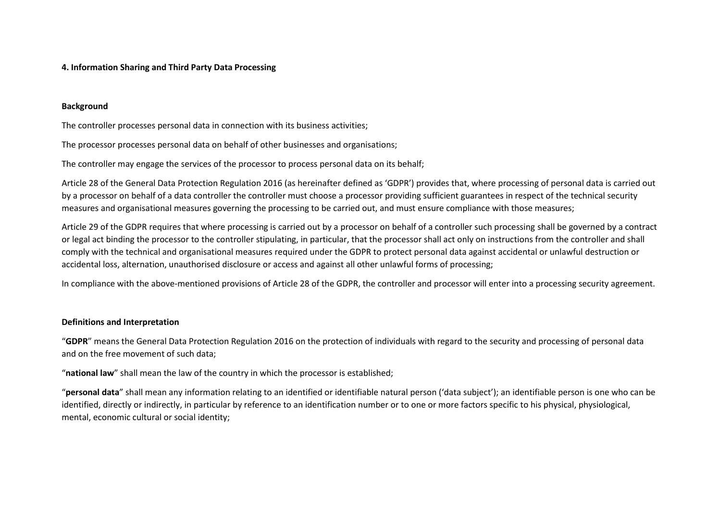### **4. Information Sharing and Third Party Data Processing**

### **Background**

The controller processes personal data in connection with its business activities;

The processor processes personal data on behalf of other businesses and organisations;

The controller may engage the services of the processor to process personal data on its behalf;

Article 28 of the General Data Protection Regulation 2016 (as hereinafter defined as 'GDPR') provides that, where processing of personal data is carried out by a processor on behalf of a data controller the controller must choose a processor providing sufficient guarantees in respect of the technical security measures and organisational measures governing the processing to be carried out, and must ensure compliance with those measures;

Article 29 of the GDPR requires that where processing is carried out by a processor on behalf of a controller such processing shall be governed by a contract or legal act binding the processor to the controller stipulating, in particular, that the processor shall act only on instructions from the controller and shall comply with the technical and organisational measures required under the GDPR to protect personal data against accidental or unlawful destruction or accidental loss, alternation, unauthorised disclosure or access and against all other unlawful forms of processing;

In compliance with the above-mentioned provisions of Article 28 of the GDPR, the controller and processor will enter into a processing security agreement.

### **Definitions and Interpretation**

"**GDPR**" means the General Data Protection Regulation 2016 on the protection of individuals with regard to the security and processing of personal data and on the free movement of such data;

"**national law**" shall mean the law of the country in which the processor is established;

"**personal data**" shall mean any information relating to an identified or identifiable natural person ('data subject'); an identifiable person is one who can be identified, directly or indirectly, in particular by reference to an identification number or to one or more factors specific to his physical, physiological, mental, economic cultural or social identity;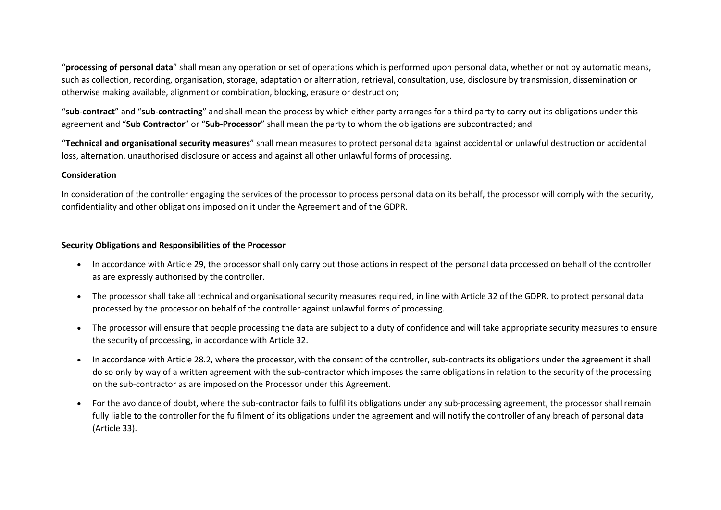"**processing of personal data**" shall mean any operation or set of operations which is performed upon personal data, whether or not by automatic means, such as collection, recording, organisation, storage, adaptation or alternation, retrieval, consultation, use, disclosure by transmission, dissemination or otherwise making available, alignment or combination, blocking, erasure or destruction;

"**sub-contract**" and "**sub-contracting**" and shall mean the process by which either party arranges for a third party to carry out its obligations under this agreement and "**Sub Contractor**" or "**Sub-Processor**" shall mean the party to whom the obligations are subcontracted; and

"**Technical and organisational security measures**" shall mean measures to protect personal data against accidental or unlawful destruction or accidental loss, alternation, unauthorised disclosure or access and against all other unlawful forms of processing.

### **Consideration**

In consideration of the controller engaging the services of the processor to process personal data on its behalf, the processor will comply with the security, confidentiality and other obligations imposed on it under the Agreement and of the GDPR.

#### **Security Obligations and Responsibilities of the Processor**

- In accordance with Article 29, the processor shall only carry out those actions in respect of the personal data processed on behalf of the controller as are expressly authorised by the controller.
- The processor shall take all technical and organisational security measures required, in line with Article 32 of the GDPR, to protect personal data processed by the processor on behalf of the controller against unlawful forms of processing.
- The processor will ensure that people processing the data are subject to a duty of confidence and will take appropriate security measures to ensure the security of processing, in accordance with Article 32.
- In accordance with Article 28.2, where the processor, with the consent of the controller, sub-contracts its obligations under the agreement it shall do so only by way of a written agreement with the sub-contractor which imposes the same obligations in relation to the security of the processing on the sub-contractor as are imposed on the Processor under this Agreement.
- For the avoidance of doubt, where the sub-contractor fails to fulfil its obligations under any sub-processing agreement, the processor shall remain fully liable to the controller for the fulfilment of its obligations under the agreement and will notify the controller of any breach of personal data (Article 33).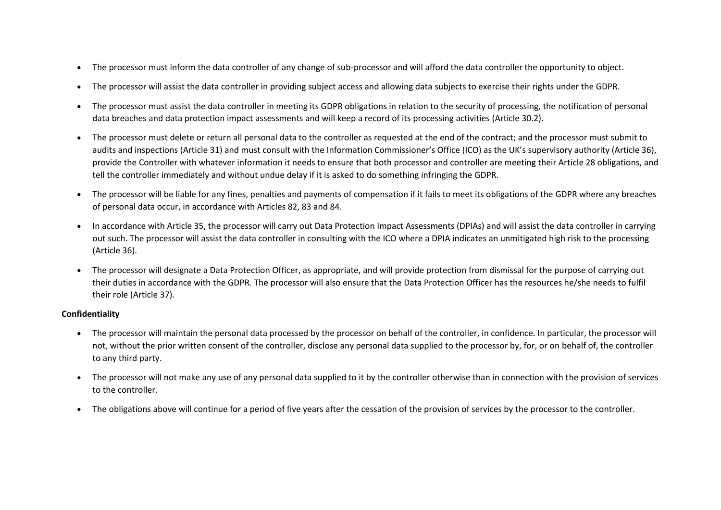- The processor must inform the data controller of any change of sub-processor and will afford the data controller the opportunity to object.
- The processor will assist the data controller in providing subject access and allowing data subjects to exercise their rights under the GDPR.
- The processor must assist the data controller in meeting its GDPR obligations in relation to the security of processing, the notification of personal data breaches and data protection impact assessments and will keep a record of its processing activities (Article 30.2).
- The processor must delete or return all personal data to the controller as requested at the end of the contract; and the processor must submit to audits and inspections (Article 31) and must consult with the Information Commissioner's Office (ICO) as the UK's supervisory authority (Article 36), provide the Controller with whatever information it needs to ensure that both processor and controller are meeting their Article 28 obligations, and tell the controller immediately and without undue delay if it is asked to do something infringing the GDPR.
- The processor will be liable for any fines, penalties and payments of compensation if it fails to meet its obligations of the GDPR where any breaches of personal data occur, in accordance with Articles 82, 83 and 84.
- In accordance with Article 35, the processor will carry out Data Protection Impact Assessments (DPIAs) and will assist the data controller in carrying out such. The processor will assist the data controller in consulting with the ICO where a DPIA indicates an unmitigated high risk to the processing (Article 36).
- The processor will designate a Data Protection Officer, as appropriate, and will provide protection from dismissal for the purpose of carrying out their duties in accordance with the GDPR. The processor will also ensure that the Data Protection Officer has the resources he/she needs to fulfil their role (Article 37).

### **Confidentiality**

- The processor will maintain the personal data processed by the processor on behalf of the controller, in confidence. In particular, the processor will not, without the prior written consent of the controller, disclose any personal data supplied to the processor by, for, or on behalf of, the controller to any third party.
- The processor will not make any use of any personal data supplied to it by the controller otherwise than in connection with the provision of services to the controller.
- The obligations above will continue for a period of five years after the cessation of the provision of services by the processor to the controller.